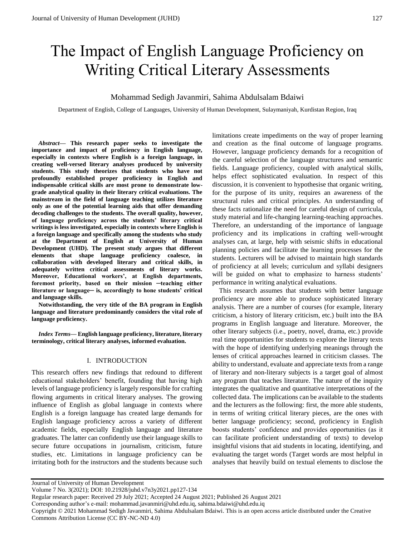# The Impact of English Language Proficiency on Writing Critical Literary Assessments

## Mohammad Sedigh Javanmiri, Sahima Abdulsalam Bdaiwi

Department of English, College of Languages, University of Human Development, Sulaymaniyah, Kurdistan Region, Iraq

*Abstract***— This research paper seeks to investigate the importance and impact of proficiency in English language, especially in contexts where English is a foreign language, in creating well-versed literary analyses produced by university students. This study theorizes that students who have not profoundly established proper proficiency in English and indispensable critical skills are most prone to demonstrate lowgrade analytical quality in their literary critical evaluations. The mainstream in the field of language teaching utilizes literature only as one of the potential learning aids that offer demanding decoding challenges to the students. The overall quality, however, of language proficiency across the students' literary critical writings is less investigated, especially in contexts where English is a foreign language and specifically among the students who study at the Department of English at University of Human Development (UHD). The present study argues that different elements that shape language proficiency coalesce, in collaboration with developed literary and critical skills, in adequately written critical assessments of literary works. Moreover, Educational workers', at English departments, foremost priority, based on their mission ─teaching either literature or language─ is, accordingly to hone students' critical and language skills.** 

**Notwithstanding, the very title of the BA program in English language and literature predominantly considers the vital role of language proficiency.**

*Index Terms***— English language proficiency, literature, literary terminology, critical literary analyses, informed evaluation.** 

### I. INTRODUCTION

This research offers new findings that redound to different educational stakeholders' benefit, founding that having high levels of language proficiency is largely responsible for crafting flowing arguments in critical literary analyses. The growing influence of English as global language in contexts where English is a foreign language has created large demands for English language proficiency across a variety of different academic fields, especially English language and literature graduates. The latter can confidently use their language skills to secure future occupations in journalism, criticism, future studies, etc. Limitations in language proficiency can be irritating both for the instructors and the students because such

limitations create impediments on the way of proper learning and creation as the final outcome of language programs. However, language proficiency demands for a recognition of the careful selection of the language structures and semantic fields. Language proficiency, coupled with analytical skills, helps effect sophisticated evaluation. In respect of this discussion, it is convenient to hypothesise that organic writing, for the purpose of its unity, requires an awareness of the structural rules and critical principles. An understanding of these facts rationalize the need for careful design of curricula, study material and life-changing learning-teaching approaches. Therefore, an understanding of the importance of language proficiency and its implications in crafting well-wrought analyses can, at large, help with seismic shifts in educational planning policies and facilitate the learning processes for the students. Lecturers will be advised to maintain high standards of proficiency at all levels; curriculum and syllabi designers will be guided on what to emphasize to harness students' performance in writing analytical evaluations.

This research assumes that students with better language proficiency are more able to produce sophisticated literary analysis. There are a number of courses (for example, literary criticism, a history of literary criticism, etc.) built into the BA programs in English language and literature. Moreover, the other literary subjects (i.e., poetry, novel, drama, etc.) provide real time opportunities for students to explore the literary texts with the hope of identifying underlying meanings through the lenses of critical approaches learned in criticism classes. The ability to understand, evaluate and appreciate texts from a range of literary and non-literary subjects is a target goal of almost any program that teaches literature. The nature of the inquiry integrates the qualitative and quantitative interpretations of the collected data. The implications can be available to the students and the lecturers as the following: first, the more able students, in terms of writing critical literary pieces, are the ones with better language proficiency; second, proficiency in English boosts students' confidence and provides opportunities (as it can facilitate proficient understanding of texts) to develop insightful visions that aid students in locating, identifying, and evaluating the target words (Target words are most helpful in analyses that heavily build on textual elements to disclose the

Journal of University of Human Development

Regular research paper: Received 29 July 2021; Accepted 24 August 2021; Published 26 August 2021

Corresponding author's e-mail: mohammad.javanmiri@uhd.edu.iq, sahima.bdaiwi@uhd.edu.iq

Copyright © 2021 Mohammad Sedigh Javanmiri, Sahima Abdulsalam Bdaiwi. This is an open access article distributed under the Creative Commons Attribution License (CC BY-NC-ND 4.0)

Volume 7 No. 3(2021); DOI: 10.21928/juhd.v7n3y2021.pp127-134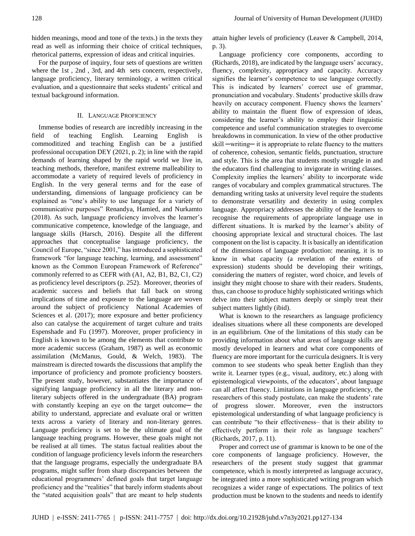hidden meanings, mood and tone of the texts.) in the texts they read as well as informing their choice of critical techniques, rhetorical patterns, expression of ideas and critical inquiries.

For the purpose of inquiry, four sets of questions are written where the 1st , 2nd , 3rd, and 4th sets concern, respectively, language proficiency, literary terminology, a written critical evaluation, and a questionnaire that seeks students' critical and textual background information.

## II. LANGUAGE PROFICIENCY

Immense bodies of research are incredibly increasing in the field of teaching English. Learning English commoditized and teaching English can be a justified professional occupation DEY (2021, p. 2); in line with the rapid demands of learning shaped by the rapid world we live in, teaching methods, therefore, manifest extreme malleability to accommodate a variety of required levels of proficiency in English. In the very general terms and for the ease of understanding, dimensions of language proficiency can be explained as "one's ability to use language for a variety of communicative purposes" Renandya, Hamied, and Nurkamto (2018). As such, language proficiency involves the learner's communicative competence, knowledge of the language, and language skills (Harsch, 2016). Despite all the different approaches that conceptualise language proficiency, the Council of Europe, "since 2001," has introduced a sophisticated framework "for language teaching, learning, and assessment" known as the Common European Framework of Reference" commonly referred to as CEFR with (A1, A2, B1, B2, C1, C2) as proficiency level descriptors (p. 252). Moreover, theories of academic success and beliefs that fall back on strong implications of time and exposure to the language are woven around the subject of proficiency National Academies of Sciences et al. (2017); more exposure and better proficiency also can catalyse the acquirement of target culture and traits Espenshade and Fu (1997). Moreover, proper proficiency in English is known to be among the elements that contribute to more academic success (Graham, 1987) as well as economic assimilation (McManus, Gould, & Welch, 1983). The mainstream is directed towards the discussions that amplify the importance of proficiency and promote proficiency boosters. The present study, however, substantiates the importance of signifying language proficiency in all the literary and nonliterary subjects offered in the undergraduate (BA) program with constantly keeping an eye on the target outcome— the ability to understand, appreciate and evaluate oral or written texts across a variety of literary and non-literary genres. Language proficiency is set to be the ultimate goal of the language teaching programs. However, these goals might not be realised at all times. The status factual realities about the condition of language proficiency levels inform the researchers that the language programs, especially the undergraduate BA programs, might suffer from sharp discrepancies between the educational programmers' defined goals that target language proficiency and the "realities" that barely inform students about the "stated acquisition goals" that are meant to help students

attain higher levels of proficiency (Leaver & Campbell, 2014, p. 3).

Language proficiency core components, according to (Richards, 2018), are indicated by the language users' accuracy, fluency, complexity, appropriacy and capacity. Accuracy signifies the learner's competence to use language correctly. This is indicated by learners' correct use of grammar, pronunciation and vocabulary. Students' productive skills draw heavily on accuracy component. Fluency shows the learners' ability to maintain the fluent flow of expression of ideas, considering the learner's ability to employ their linguistic competence and useful communication strategies to overcome breakdowns in communication. In view of the other productive skill —writing— it is appropriate to relate fluency to the matters of coherence, cohesion, semantic fields, punctuation, structure and style. This is the area that students mostly struggle in and the educators find challenging to invigorate in writing classes. Complexity implies the learners' ability to incorporate wide ranges of vocabulary and complex grammatical structures. The demanding writing tasks at university level require the students to demonstrate versatility and dexterity in using complex language. Appropriacy addresses the ability of the learners to recognise the requirements of appropriate language use in different situations. It is marked by the learner's ability of choosing appropriate lexical and structural choices. The last component on the list is capacity. It is basically an identification of the dimensions of language production: meaning, it is to know in what capacity (a revelation of the extents of expression) students should be developing their writings, considering the matters of register, word choice, and levels of insight they might choose to share with their readers. Students, thus, can choose to produce highly sophisticated writings which delve into their subject matters deeply or simply treat their subject matters lightly (ibid).

What is known to the researchers as language proficiency idealises situations where all these components are developed in an equilibrium. One of the limitations of this study can be providing information about what areas of language skills are mostly developed in learners and what core components of fluency are more important for the curricula designers. It is very common to see students who speak better English than they write it. Learner types (e.g., visual, auditory, etc.) along with epistemological viewpoints, of the educators', about language can all affect fluency. Limitations in language proficiency, the researchers of this study postulate, can make the students' rate of progress slower. Moreover, even the instructors epistemological understanding of what language proficiency is can contribute "to their effectiveness– that is their ability to effectively perform in their role as language teachers" (Richards, 2017, p. 11).

Proper and correct use of grammar is known to be one of the core components of language proficiency. However, the researchers of the present study suggest that grammar competence, which is mostly interpreted as language accuracy, be integrated into a more sophisticated writing program which recognizes a wider range of expectations. The politics of text production must be known to the students and needs to identify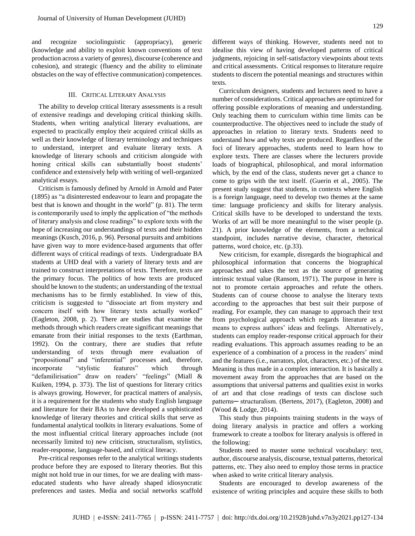and recognize sociolinguistic (appropriacy), generic (knowledge and ability to exploit known conventions of text production across a variety of genres), discourse (coherence and cohesion), and strategic (fluency and the ability to eliminate obstacles on the way of effective communication) competences.

### III. CRITICAL LITERARY ANALYSIS

The ability to develop critical literary assessments is a result of extensive readings and developing critical thinking skills. Students, when writing analytical literary evaluations, are expected to practically employ their acquired critical skills as well as their knowledge of literary terminology and techniques to understand, interpret and evaluate literary texts. A knowledge of literary schools and criticism alongside with honing critical skills can substantially boost students' confidence and extensively help with writing of well-organized analytical essays.

Criticism is famously defined by Arnold in Arnold and Pater (1895) as "a disinterested endeavour to learn and propagate the best that is known and thought in the world" (p. 81). The term is contemporarily used to imply the application of "the methods of literary analysis and close readings" to explore texts with the hope of increasing our understandings of texts and their hidden meanings (Kusch, 2016, p. 96). Personal pursuits and ambitions have given way to more evidence-based arguments that offer different ways of critical readings of texts. Undergraduate BA students at UHD deal with a variety of literary texts and are trained to construct interpretations of texts. Therefore, texts are the primary focus. The politics of how texts are produced should be known to the students; an understanding of the textual mechanisms has to be firmly established. In view of this, criticism is suggested to "dissociate art from mystery and concern itself with how literary texts actually worked" (Eagleton, 2008, p. 2). There are studies that examine the methods through which readers create significant meanings that emanate from their initial responses to the texts (Earthman, 1992). On the contrary, there are studies that refute understanding of texts through mere evaluation of "propositional" and "inferential" processes and, therefore, incorporate "stylistic features" which through "defamilirisation" draw on readers' "feelings" (Miall & Kuiken, 1994, p. 373). The list of questions for literary critics is always growing. However, for practical matters of analysis, it is a requirement for the students who study English language and literature for their BAs to have developed a sophisticated knowledge of literary theories and critical skills that serve as fundamental analytical toolkits in literary evaluations. Some of the most influential critical literary approaches include (not necessarily limited to) new criticism, structuralism, stylistics, reader-response, language-based, and critical literacy.

Pre-critical responses refer to the analytical writings students produce before they are exposed to literary theories. But this might not hold true in our times, for we are dealing with masseducated students who have already shaped idiosyncratic preferences and tastes. Media and social networks scaffold different ways of thinking. However, students need not to idealise this view of having developed patterns of critical judgments, rejoicing in self-satisfactory viewpoints about texts and critical assessments. Critical responses to literature require students to discern the potential meanings and structures within texts.

Curriculum designers, students and lecturers need to have a number of considerations. Critical approaches are optimized for offering possible explorations of meaning and understanding. Only teaching them to curriculum within time limits can be counterproductive. The objectives need to include the study of approaches in relation to literary texts. Students need to understand how and why texts are produced. Regardless of the foci of literary approaches, students need to learn how to explore texts. There are classes where the lecturers provide loads of biographical, philosophical, and moral information which, by the end of the class, students never get a chance to come to grips with the text itself. (Guerin et al., 2005). The present study suggest that students, in contexts where English is a foreign language, need to develop two themes at the same time: language proficiency and skills for literary analysis. Critical skills have to be developed to understand the texts. Works of art will be more meaningful to the wiser people (p. 21). A prior knowledge of the elements, from a technical standpoint, includes narrative devise, character, rhetorical patterns, word choice, etc. (p.33).

New criticism, for example, disregards the biographical and philosophical information that concerns the biographical approaches and takes the text as the source of generating intrinsic textual value (Ransom, 1971). The purpose in here is not to promote certain approaches and refute the others. Students can of course choose to analyse the literary texts according to the approaches that best suit their purpose of reading. For example, they can manage to approach their text from psychological approach which regards literature as a means to express authors' ideas and feelings. Alternatively, students can employ reader-response critical approach for their reading evaluations. This approach assumes reading to be an experience of a combination of a process in the readers' mind and the features (i.e., narrators, plot, characters, etc.) of the text. Meaning is thus made in a complex interaction. It is basically a movement away from the approaches that are based on the assumptions that universal patterns and qualities exist in works of art and that close readings of texts can disclose such patterns— structuralism. (Bertens, 2017), (Eagleton, 2008) and (Wood & Lodge, 2014).

This study thus pinpoints training students in the ways of doing literary analysis in practice and offers a working framework to create a toolbox for literary analysis is offered in the following:

Students need to master some technical vocabulary: text, author, discourse analysis, discourse, textual patterns, rhetorical patterns, etc. They also need to employ those terms in practice when asked to write critical literary analysis.

Students are encouraged to develop awareness of the existence of writing principles and acquire these skills to both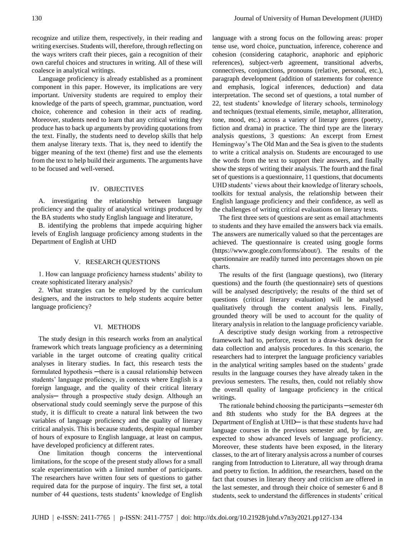recognize and utilize them, respectively, in their reading and writing exercises. Students will, therefore, through reflecting on the ways writers craft their pieces, gain a recognition of their own careful choices and structures in writing. All of these will coalesce in analytical writings.

Language proficiency is already established as a prominent component in this paper. However, its implications are very important. University students are required to employ their knowledge of the parts of speech, grammar, punctuation, word choice, coherence and cohesion in their acts of reading. Moreover, students need to learn that any critical writing they produce has to back up arguments by providing quotations from the text. Finally, the students need to develop skills that help them analyse literary texts. That is, they need to identify the bigger meaning of the text (theme) first and use the elements from the text to help build their arguments. The arguments have to be focused and well-versed.

## IV. OBJECTIVES

A. investigating the relationship between language proficiency and the quality of analytical writings produced by the BA students who study English language and literature,

B. identifying the problems that impede acquiring higher levels of English language proficiency among students in the Department of English at UHD

#### V. RESEARCH QUESTIONS

1. How can language proficiency harness students' ability to create sophisticated literary analysis?

2. What strategies can be employed by the curriculum designers, and the instructors to help students acquire better language proficiency?

## VI. METHODS

The study design in this research works from an analytical framework which treats language proficiency as a determining variable in the target outcome of creating quality critical analyses in literary studies. In fact, this research tests the formulated hypothesis —there is a causal relationship between students' language proficiency, in contexts where English is a foreign language, and the quality of their critical literary analysis─ through a prospective study design. Although an observational study could seemingly serve the purpose of this study, it is difficult to create a natural link between the two variables of language proficiency and the quality of literary critical analysis. This is because students, despite equal number of hours of exposure to English language, at least on campus, have developed proficiency at different rates.

One limitation though concerns the interventional limitations, for the scope of the present study allows for a small scale experimentation with a limited number of participants. The researchers have written four sets of questions to gather required data for the purpose of inquiry. The first set, a total number of 44 questions, tests students' knowledge of English

language with a strong focus on the following areas: proper tense use, word choice, punctuation, inference, coherence and cohesion (considering cataphoric, anaphoric and epiphoric references), subject-verb agreement, transitional adverbs, connectives, conjunctions, pronouns (relative, personal, etc.), paragraph development (addition of statements for coherence and emphasis, logical inferences, deduction) and data interpretation. The second set of questions, a total number of 22, test students' knowledge of literary schools, terminology and techniques (textual elements, simile, metaphor, alliteration, tone, mood, etc.) across a variety of literary genres (poetry, fiction and drama) in practice. The third type are the literary analysis questions, 3 questions: An excerpt from Ernest Hemingway's The Old Man and the Sea is given to the students to write a critical analysis on. Students are encouraged to use the words from the text to support their answers, and finally show the steps of writing their analysis. The fourth and the final set of questions is a questionnaire, 11 questions, that documents UHD students' views about their knowledge of literary schools, toolkits for textual analysis, the relationship between their English language proficiency and their confidence, as well as the challenges of writing critical evaluations on literary texts.

The first three sets of questions are sent as email attachments to students and they have emailed the answers back via emails. The answers are numerically valued so that the percentages are achieved. The questionnaire is created using google forms (https://www.google.com/forms/about/). The results of the questionnaire are readily turned into percentages shown on pie charts.

The results of the first (language questions), two (literary questions) and the fourth (the questionnaire) sets of questions will be analysed descriptively; the results of the third set of questions (critical literary evaluation) will be analysed qualitatively through the content analysis lens. Finally, grounded theory will be used to account for the quality of literary analysis in relation to the language proficiency variable.

A descriptive study design working from a retrospective framework had to, perforce, resort to a draw-back design for data collection and analysis procedures. In this scenario, the researchers had to interpret the language proficiency variables in the analytical writing samples based on the students' grade results in the language courses they have already taken in the previous semesters. The results, then, could not reliably show the overall quality of language proficiency in the critical writings.

The rationale behind choosing the participants —semester 6th and 8th students who study for the BA degrees at the Department of English at UHD─ is that these students have had language courses in the previous semester and, by far, are expected to show advanced levels of language proficiency. Moreover, these students have been exposed, in the literary classes, to the art of literary analysis across a number of courses ranging from Introduction to Literature, all way through drama and poetry to fiction. In addition, the researchers, based on the fact that courses in literary theory and criticism are offered in the last semester, and through their choice of semester 6 and 8 students, seek to understand the differences in students' critical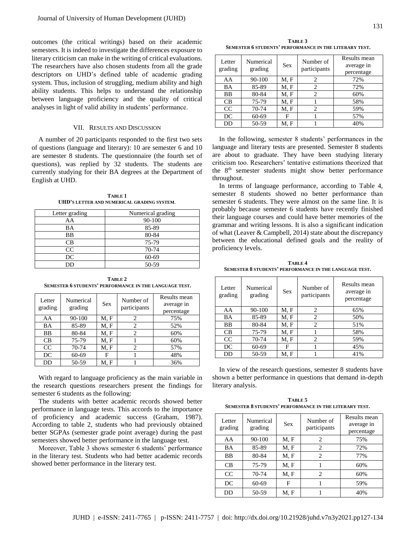outcomes (the critical writings) based on their academic semesters. It is indeed to investigate the differences exposure to literary criticism can make in the writing of critical evaluations. The researchers have also chosen students from all the grade descriptors on UHD's defined table of academic grading system. Thus, inclusion of struggling, medium ability and high ability students. This helps to understand the relationship between language proficiency and the quality of critical analyses in light of valid ability in students' performance.

#### VII. RESULTS AND DISCUSSION

A number of 20 participants responded to the first two sets of questions (language and literary): 10 are semester 6 and 10 are semester 8 students. The questionnaire (the fourth set of questions), was replied by 32 students. The students are currently studying for their BA degrees at the Department of English at UHD.

**TABLE 1 UHD'S LETTER AND NUMERICAL GRADING SYSTEM**.

| Letter grading | Numerical grading |  |
|----------------|-------------------|--|
| AA             | 90-100            |  |
| BA             | 85-89             |  |
| BB             | 80-84             |  |
| CВ             | 75-79             |  |
| CC             | 70-74             |  |
| DC             | 60-69             |  |
| DD             | 50-59             |  |

**TABLE 2 SEMESTER 6 STUDENTS' PERFORMANCE IN THE LANGUAGE TEST.**

| Letter<br>grading | Numerical<br>grading | <b>Sex</b> | Number of<br>participants | Results mean<br>average in<br>percentage |
|-------------------|----------------------|------------|---------------------------|------------------------------------------|
| AA                | 90-100               | M, F       | 2                         | 75%                                      |
| BA                | 85-89                | M, F       | 2                         | 52%                                      |
| <b>BB</b>         | 80-84                | M, F       | $\overline{c}$            | 60%                                      |
| CB                | 75-79                | M, F       |                           | 60%                                      |
| CC                | 70-74                | M. F       | $\mathfrak{D}$            | 57%                                      |
| DC                | 60-69                | F          |                           | 48%                                      |
| DD                | 50-59                | M. F       |                           | 36%                                      |

With regard to language proficiency as the main variable in the research questions researchers present the findings for semester 6 students as the following:

The students with better academic records showed better performance in language tests. This accords to the importance of proficiency and academic success (Graham, 1987). According to table 2, students who had previously obtained better SGPAs (semester grade point average) during the past semesters showed better performance in the language test.

Moreover, Table 3 shows semester 6 students' performance in the literary test. Students who had better academic records showed better performance in the literary test.

**TABLE 3 SEMESTER 6 STUDENTS' PERFORMANCE IN THE LITERARY TEST.**

| Letter<br>grading | Numerical<br>grading | <b>Sex</b> | Number of<br>participants | Results mean<br>average in<br>percentage |
|-------------------|----------------------|------------|---------------------------|------------------------------------------|
| AA                | 90-100               | M, F       | 2                         | 72%                                      |
| BA                | 85-89                | M, F       | 2                         | 72%                                      |
| BB                | 80-84                | M, F       | 2                         | 60%                                      |
| CB                | 75-79                | M, F       |                           | 58%                                      |
| CC                | 70-74                | M, F       | $\overline{c}$            | 59%                                      |
| DC                | 60-69                | F          |                           | 57%                                      |
| DD                | 50-59                | M, F       |                           | 40%                                      |

In the following, semester 8 students' performances in the language and literary tests are presented. Semester 8 students are about to graduate. They have been studying literary criticism too. Researchers' tentative estimations theorized that the 8<sup>th</sup> semester students might show better performance throughout.

In terms of language performance, according to Table 4, semester 8 students showed no better performance than semester 6 students. They were almost on the same line. It is probably because semester 6 students have recently finished their language courses and could have better memories of the grammar and writing lessons. It is also a significant indication of what (Leaver & Campbell, 2014) state about the discrepancy between the educational defined goals and the reality of proficiency levels.

**TABLE 4 SEMESTER 8 STUDENTS' PERFORMANCE IN THE LANGUAGE TEST.**

| Letter<br>grading | Numerical<br>grading | <b>Sex</b> | Number of<br>participants | Results mean<br>average in<br>percentage |
|-------------------|----------------------|------------|---------------------------|------------------------------------------|
| AA                | 90-100               | M, F       | 2                         | 65%                                      |
| BA                | 85-89                | M, F       | 2                         | 50%                                      |
| BB                | 80-84                | M, F       | $\overline{c}$            | 51%                                      |
| CB                | 75-79                | M, F       |                           | 58%                                      |
| CC                | 70-74                | M, F       | $\overline{c}$            | 59%                                      |
| DC                | 60-69                | F          |                           | 45%                                      |
| DD                | 50-59                | M, F       |                           | 41%                                      |

In view of the research questions, semester 8 students have shown a better performance in questions that demand in-depth literary analysis.

**TABLE 5 SEMESTER 8 STUDENTS' PERFORMANCE IN THE LITERARY TEST.**

| Letter<br>grading | Numerical<br>grading | <b>Sex</b> | Number of<br>participants | Results mean<br>average in<br>percentage |
|-------------------|----------------------|------------|---------------------------|------------------------------------------|
| AA                | 90-100               | M, F       | 2                         | 75%                                      |
| BA                | 85-89                | M, F       | 2                         | 72%                                      |
| <b>BB</b>         | 80-84                | M, F       | 2                         | 77%                                      |
| CB                | 75-79                | M, F       |                           | 60%                                      |
| CC                | $70-74$              | M, F       | 2                         | 60%                                      |
| DC                | $60 - 69$            | F          |                           | 59%                                      |
| DD                | 50-59                | M. F       |                           | 40%                                      |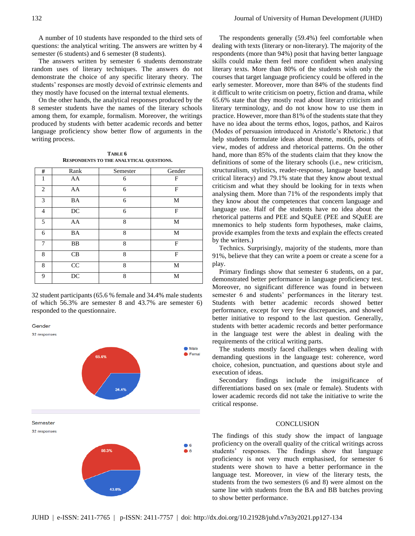semester (6 students) and 6 semester (8 students). The answers written by semester 6 students demonstrate random uses of literary techniques. The answers do not demonstrate the choice of any specific literary theory. The students' responses are mostly devoid of extrinsic elements and they mostly have focused on the internal textual elements.

On the other hands, the analytical responses produced by the 8 semester students have the names of the literary schools among them, for example, formalism. Moreover, the writings produced by students with better academic records and better language proficiency show better flow of arguments in the writing process.

**TABLE 6 RESPONDENTS TO THE ANALYTICAL QUESTIONS.**

| #              | Rank            | Semester | Gender       |
|----------------|-----------------|----------|--------------|
| 1              | AA              | 6        | F            |
| $\overline{c}$ | AA              | 6        | F            |
| 3              | <b>BA</b>       | 6        | M            |
| 4              | $\rm DC$        | 6        | F            |
| 5              | AA              | 8        | M            |
| 6              | <b>BA</b>       | 8        | M            |
| 7              | BB              | 8        | F            |
| 8              | CB              | 8        | $\mathbf{F}$ |
| 8              | CC              | 8        | M            |
| 9              | $\overline{DC}$ | 8        | M            |
|                |                 |          |              |

32 student participants (65.6 % female and 34.4% male students of which 56.3% are semester 8 and 43.7% are semester 6) responded to the questionnaire.

Gender



The respondents generally (59.4%) feel comfortable when dealing with texts (literary or non-literary). The majority of the respondents (more than 94%) posit that having better language skills could make them feel more confident when analysing literary texts. More than 80% of the students wish only the courses that target language proficiency could be offered in the early semester. Moreover, more than 84% of the students find it difficult to write criticism on poetry, fiction and drama, while 65.6% state that they mostly read about literary criticism and literary terminology, and do not know how to use them in practice. However, more than 81% of the students state that they have no idea about the terms ethos, logos, pathos, and Kairos (Modes of persuasion introduced in Aristotle's Rhetoric.) that help students formulate ideas about theme, motifs, points of view, modes of address and rhetorical patterns. On the other hand, more than 85% of the students claim that they know the definitions of some of the literary schools (i.e., new criticism, structuralism, stylistics, reader-response, language based, and critical literacy) and 79.1% state that they know about textual criticism and what they should be looking for in texts when analysing them. More than 71% of the respondents imply that they know about the competences that concern language and language use. Half of the students have no idea about the rhetorical patterns and PEE and SQuEE (PEE and SQuEE are mnemonics to help students form hypotheses, make claims, provide examples from the texts and explain the effects created by the writers.)

Technics. Surprisingly, majority of the students, more than 91%, believe that they can write a poem or create a scene for a play.

Primary findings show that semester 6 students, on a par, demonstrated better performance in language proficiency test. Moreover, no significant difference was found in between semester 6 and students' performances in the literary test. Students with better academic records showed better performance, except for very few discrepancies, and showed better initiative to respond to the last question. Generally, students with better academic records and better performance in the language test were the ablest in dealing with the requirements of the critical writing parts.

The students mostly faced challenges when dealing with demanding questions in the language test: coherence, word choice, cohesion, punctuation, and questions about style and execution of ideas.

Secondary findings include the insignificance of differentiations based on sex (male or female). Students with lower academic records did not take the initiative to write the critical response.

## **CONCLUSION**

The findings of this study show the impact of language proficiency on the overall quality of the critical writings across students' responses. The findings show that language proficiency is not very much emphasised, for semester 6 students were shown to have a better performance in the language test. Moreover, in view of the literary tests, the students from the two semesters (6 and 8) were almost on the same line with students from the BA and BB batches proving to show better performance.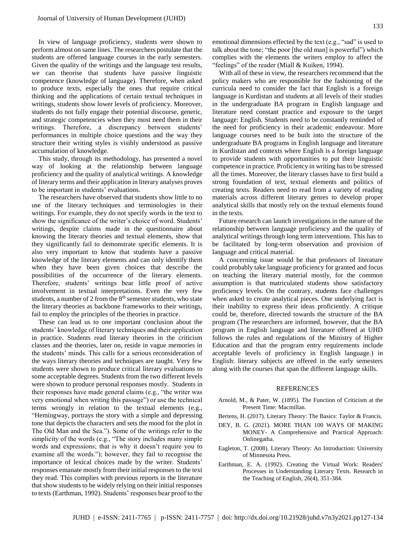In view of language proficiency, students were shown to perform almost on same lines. The researchers postulate that the students are offered language courses in the early semesters. Given the quality of the writings and the language test results, we can theorise that students have passive linguistic competence (knowledge of language). Therefore, when asked to produce texts, especially the ones that require critical thinking and the applications of certain textual techniques in writings, students show lower levels of proficiency. Moreover, students do not fully engage their potential discourse, generic, and strategic competencies when they most need them in their writings. Therefore, a discrepancy between students' performances in multiple choice questions and the way they structure their writing styles is visibly understood as passive accumulation of knowledge.

This study, through its methodology, has presented a novel way of looking at the relationship between language proficiency and the quality of analytical writings. A knowledge of literary terms and their application in literary analyses proves to be important in students' evaluations.

The researchers have observed that students show little to no use of the literary techniques and terminologies in their writings. For example, they do not specify words in the text to show the significance of the writer's choice of word. Students' writings, despite claims made in the questionnaire about knowing the literary theories and textual elements, show that they significantly fail to demonstrate specific elements. It is also very important to know that students have a passive knowledge of the literary elements and can only identify them when they have been given choices that describe the possibilities of the occurrence of the literary elements. Therefore, students' writings bear little proof of active involvement in textual interpretations. Even the very few students, a number of 2 from the  $8<sup>th</sup>$  semester students, who state the literary theories as backbone frameworks to their writings, fail to employ the principles of the theories in practice.

These can lead us to one important conclusion about the students' knowledge of literary techniques and their application in practice. Students read literary theories in the criticism classes and the theories, later on, reside in vague memories in the students' minds. This calls for a serious reconsideration of the ways literary theories and techniques are taught. Very few students were shown to produce critical literary evaluations to some acceptable degrees. Students from the two different levels were shown to produce personal responses mostly. Students in their responses have made general claims (e.g., "the writer was very emotional when writing this passage") or use the technical terms wrongly in relation to the textual elements (e.g., "Hemingway, portrays the story with a simple and depressing tone that depicts the characters and sets the mood for the plot in The Old Man and the Sea."). Some of the writings refer to the simplicity of the words (e.g., "The story includes many simple words and expressions; that is why it doesn't require you to examine all the words."); however, they fail to recognise the importance of lexical choices made by the writer. Students' responses emanate mostly from their initial responses to the text they read. This complies with previous reports in the literature that show students to be widely relying on their initial responses to texts (Earthman, 1992). Students' responses bear proof to the

emotional dimensions effected by the text (e.g., "sad" is used to talk about the tone; "the poor [the old man] is powerful") which complies with the elements the writers employ to affect the "feelings" of the reader (Miall & Kuiken, 1994).

With all of these in view, the researchers recommend that the policy makers who are responsible for the fashioning of the curricula need to consider the fact that English is a foreign language in Kurdistan and students at all levels of their studies in the undergraduate BA program in English language and literature need constant practice and exposure to the target language: English. Students need to be constantly reminded of the need for proficiency in their academic endeavour. More language courses need to be built into the structure of the undergraduate BA programs in English language and literature in Kurdistan and contexts where English is a foreign language to provide students with opportunities to put their linguistic competence in practice. Proficiency in writing has to be stressed all the times. Moreover, the literary classes have to first build a strong foundation of text, textual elements and politics of creating texts. Readers need to read from a variety of reading materials across different literary genres to develop proper analytical skills that mostly rely on the textual elements found in the texts.

Future research can launch investigations in the nature of the relationship between language proficiency and the quality of analytical writings through long term interventions. This has to be facilitated by long-term observation and provision of language and critical material.

A concerning issue would be that professors of literature could probably take language proficiency for granted and focus on teaching the literary material mostly, for the common assumption is that matriculated students show satisfactory proficiency levels. On the contrary, students face challenges when asked to create analytical pieces. One underlying fact is their inability to express their ideas proficiently. A critique could be, therefore, directed towards the structure of the BA program (The researchers are informed, however, that the BA program in English language and literature offered at UHD follows the rules and regulations of the Ministry of Higher Education and that the program entry requirements include acceptable levels of proficiency in English language.) in English: literary subjects are offered in the early semesters along with the courses that span the different language skills.

#### REFERENCES

- Arnold, M., & Pater, W. (1895). The Function of Criticism at the Present Time: Macmillan.
- Bertens, H. (2017). Literary Theory: The Basics: Taylor & Francis.
- DEY, B. G. (2021). MORE THAN 100 WAYS OF MAKING MONEY- A Comprehensive and Practical Approach: Onlinegatha.
- Eagleton, T. (2008). Literary Theory: An Introduction: University of Minnesota Press.
- Earthman, E. A. (1992). Creating the Virtual Work: Readers' Processes in Understanding Literary Texts. Research in the Teaching of English, 26(4), 351-384.